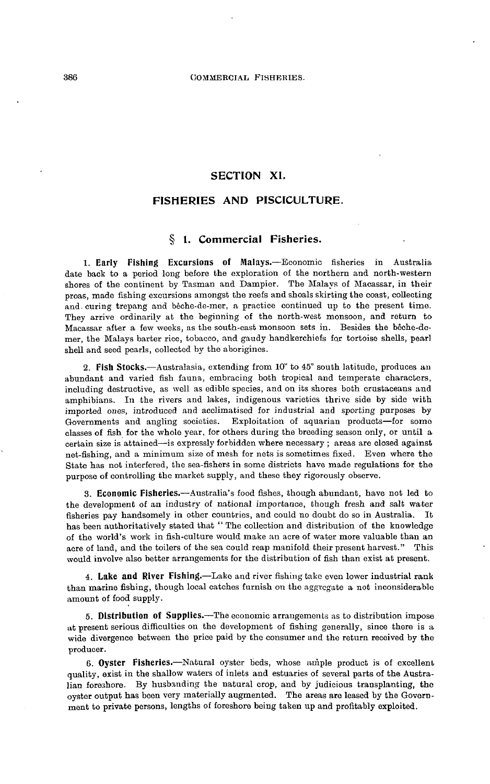### **SECTION XI.**

# **FISHERIES AND PISCICULTURE.**

# **§ 1. Commercial Fisheries.**

**1. Early Pishing Excursions of Malays.**—Economic fisheries in Australia date back to a period long before the exploration of the northern and north-western shores of the continent by Tasman and Dampier. The Malays of Macassar, in their proas, made fishing excursions amongst the reefs and shoals skirting the coast, collecting and-curing trepang and beche-de-mer, a practice continued up to the present time. They arrive ordinarily at the beginning of the north-west monsoon, and return to Macassar after a few weeks, as the south-east monsoon sets in. Besides the beche-demer, the Malays barter rice, tobacco, and gaudy handkerchiefs for tortoise shells, pearl shell and seed pearls, collected by the aborigines.

**2. Fish Stocks.**—Australasia, extending from 10" to 45° south latitude, produces an abundant and varied fish fauna, embracing both tropical and temperate characters, including destructive, as well as edible species, and on its shores both crustaceans and amphibians. In the rivers and lakes, indigenous varieties thrive side by side with imported ones, introduced and acclimatised for industrial and sporting purposes by Exploitation of aquarian products—for some classes of fish for the whole year, for others during the breeding season only, or until a certain size is attained—is expressly forbidden where necessary ; areas are closed against net-fishing, and a minimum size of mesh for nets is sometimes fixed. Even where the State has not interfered, the sea-fishers in some districts have made regulations for the purpose of controlling the market supply, and these they rigorously observe.

**3. Economic Fisheries.**—Australia's food fishes, though abundant, have not led to the development of an industry of national importance, though fresh and salt water fisheries pay handsomely in other countries, and could no doubt do so in Australia. It has been authoritatively stated that " The collection and distribution of the knowledge of the world's work in fish-culture would make an acre of water more valuable than an acre of land, and the toilers of the sea could reap manifold their present harvest." This would involve also better arrangements for the distribution of fish than exist at present.

**4. Lake and River Fishing.**—Lake and river fishing take even lower industrial rank than marine fishing, though local catches furnish on the aggregate a not inconsiderable amount of food supply.

**5. Distribution of Supplies.**—The economic arrangements as to distribution impose at present serious difficulties on the development of fishing generally, since there is a wide divergence between the price paid by the consumer and the return received by the producer.

**6. Oyster Fisheries.**—Natural oyster beds, whose ample product is of excellent quality, exist in the shallow waters of inlets and estuaries of several parts of the Australian foreshore. By husbanding the natural crop, and by judicious transplanting, the oyster output has been very materially augmented. The areas are leased by the Government to private persons, lengths of foreshore being taken up and profitably exploited.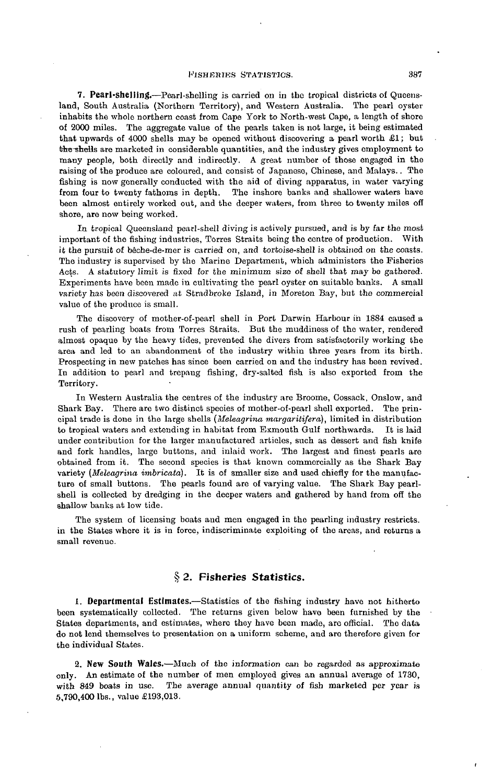**7. Pearl-shelling.**—Pearl-shelling is carried on in the tropical districts of Queensland, South Australia (Northern Territory), and Western Australia. The pearl oyster inhabits the whole northern coast from Cape York to North-west Cape, a length of shore of 2000 miles. The aggregate value of the pearls taken is not large, it being estimated that upwards of 4000 shells may be opened without discovering a pearl worth £1; but the shells are marketed in considerable quantities, and the industry gives employment to many people, both directly and indirectly. A great number of those engaged in the raising of the produce are coloured, and consist of Japanese, Chinese, and Malays.. The fishing is now generally conducted with the aid of diving apparatus, in water varying from four to twenty fathoms in depth. The inshore banks and shallower waters have been almost entirely worked out, and the deeper waters, from three to twenty miles off shore, are now being worked.

In tropical Queensland pearl-shell diving is actively pursued, and is by far the most important of the fishing industries, Torres Straits being the centre of production. With it the pursuit of beche-de-mer is carried on, and tortoise-shell is obtained on the coasts. The industry is supervised by the Marine Department, which administers the Fisheries Acts. A statutory limit is fixed for the minimum size of shell that may be gathered. Experiments have been made in cultivating the pearl oyster on suitable banks. A small variety has been discovered at Stradbroke Island, in Moreton Bay, but the commercial value of the produce is small.

The discovery of mother-of-pearl shell in Port Darwin Harbour in 1884 caused a rush of pearling boats from Torres Straits. But the muddiness of the water, rendered almost opaque by the heavy tides, prevented the divers from satisfactorily working the area and led to an abandonment of the industry within three years from its birth. Prospecting in new patches has since been carried on and the industry has been revived. In addition to pearl and trepang fishing, dry-salted fish is also exported from the Territory.

In Western Australia the centres of the industry are Broome, Cossack, Onslow, and Shark Bay. There are two distinct species of mother-of-pearl shell exported. The principal trade is done in the large shells *(Meleagrina margaritifera),* limited in distribution to tropical waters and extending in habitat from Exmouth Gulf northwards. It is laid under contribution for the larger manufactured articles, such as dessert and fish knife and fork handles, large buttons, and inlaid work. The largest and finest pearls are obtained from it. The second species is that known commercially as the Shark Bay variety *(Meleagrina imbricata).* It is of smaller size and used chiefly for the manufacture of small buttons. The pearls found are of varying value. The Shark Bay pearlshell is collected by dredging in the deeper waters and gathered by hand from off the shallow banks at low tide.

The system of licensing boats and men engaged in the pearling industry restricts, in the States where it is in force, indiscriminate exploiting of the areas, and returns a small revenue.

#### **§** *2.* **Fisheries Statistics.**

**1. Departmental Estimates.**—Statistics of the fishing industry have not hitherto been systematically collected. The returns given below have been furnished by the States departments, and estimates, where they have been made, are official. The data do not lend themselves to presentation on a uniform scheme, and are therefore given for the individual States.

**2. New South Wales.**—Much of the information can bo regarded as approximate only. An estimate of the number of men employed gives an annual average of 1730, with 849 boats in use. The average annual quantity of fish marketed per year is 5,790,400 Ibs., value £193,013.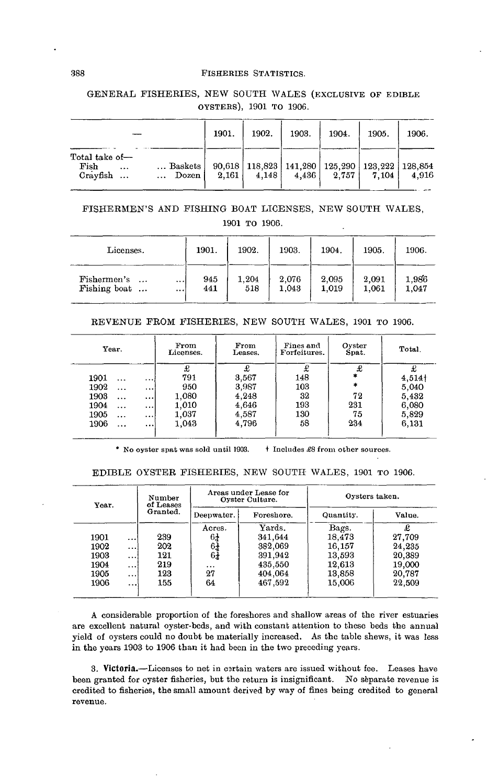GENERAL FISHERIES, NEW SOUTH WALES (EXCLUSIVE OF EDIBLE OYSTERS), 1901 TO 1906.

|                                                                                | 1901. | 1902. | 1903. | 1904.                                                                         | 1905. | 1906. |
|--------------------------------------------------------------------------------|-------|-------|-------|-------------------------------------------------------------------------------|-------|-------|
| Total take of-<br>Baskets<br>Fish<br>$\cdots$<br>Cravfish<br>Dozen<br>$\cdots$ | 2,161 | 4.148 |       | $90,618$   118,823   141,280   125,290   123,222   128,854<br>$4,436$   2.757 | 7.104 | 4.916 |

# FISHERMEN'S AND FISHING BOAT LICENSES, NEW SOUTH WALES, 1901 TO 1906.

| Licenses.                                           | 1901.      | 1902.        | 1903.          | 1904.          | 1905.          | 1906.          |
|-----------------------------------------------------|------------|--------------|----------------|----------------|----------------|----------------|
| Fishermen's<br>$\cdots$<br>Fishing boat<br>$\cdots$ | 945<br>441 | 1.204<br>518 | 2,076<br>1,043 | 2.095<br>1,019 | 2,091<br>1,061 | 1.986<br>1.047 |

#### REVENUE FROM FISHERIES, NEW SOUTH WALES, 1901 TO 1906.

| Year.                         | From<br>Licenses. | From<br>Leases. | Fines and<br>Forfeitures. | Oyster<br>Spat. | Total. |
|-------------------------------|-------------------|-----------------|---------------------------|-----------------|--------|
|                               | £                 | £               |                           | £               | £      |
| 1901<br>$\ddotsc$<br>$\cdots$ | 791               | 3,567           | 148                       | *               | 4,514  |
| 1902<br><br>                  | 950               | 3,987           | 103                       | $\ast$          | 5.040  |
| 1903<br>$\cdots$<br>          | 1.080             | 4,248           | 32                        | 72              | 5,432  |
| 1904<br>$\cdots$<br>$\cdots$  | 1,010             | 4,646           | 193                       | 231             | 6,080  |
| 1905<br><br>$\cdots$          | 1.037             | 4,587           | 130                       | 75              | 5,829  |
| 1906<br><br>$\cdots$          | 1.043             | 4,796           | 58                        | 234             | 6,131  |
|                               |                   |                 |                           |                 |        |

\* No oyster spat was sold until 1903. **f** Includes £8 from other sources.

### EDIBLE OYSTER FISHERIES, NEW SOUTH WALES, 1901 TO 1906.

| Year. |                      | Number<br>of Leases |                | Areas under Lease for<br>Oyster Culture. | Oysters taken. |        |
|-------|----------------------|---------------------|----------------|------------------------------------------|----------------|--------|
|       |                      | Granted.            | Deepwater.     | Foreshore.                               | Quantity.      | Value. |
|       |                      |                     | Acres.         | Yards.                                   | Bags.          | £      |
| 1901  | $\cdots$             | 239                 | 64             | 341.644                                  | 18.473         | 27,709 |
| 1902  | $\cdots$             | 202                 | $6\frac{1}{4}$ | 382,069                                  | 16,157         | 24,235 |
| 1903  |                      | 121                 | 61             | 391,942                                  | 13.593         | 20,389 |
| 1904  | $\cdots$             | 219                 | $\cdots$       | 435,550                                  | 12,613         | 19,000 |
| 1905  | $\cdots$             | 123                 | 27             | 404,064                                  | 13,858         | 20,787 |
| 1906  | $\sim$ $\sim$ $\sim$ | 155                 | 64             | 467,592                                  | 15.006         | 22,509 |
|       |                      |                     |                |                                          |                |        |

A considerable proportion of the foreshores and shallow areas of the river estuaries are excellent natural oyster-beds, and with constant attention to these beds the annual yield of oysters could no doubt be materially increased. As the table shews, it was less in the years 1903 to 1906 than it had been in the two preceding years.

3. Victoria.—Licenses to net in certain waters are issued without fee. Leases have been granted for oyster fisheries, but the return is insignificant. No separate revenue is credited to fisheries, the small amount derived by way of fines being credited to general revenue.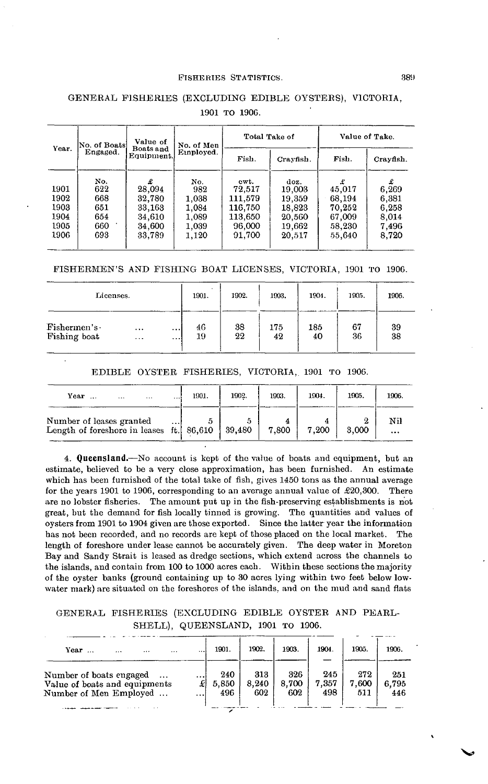|                                              | Value of<br>No. of Boats<br>Boats and<br>Engaged.<br>Equipment. |                                                               | No. of Men                                              |                                                                     | Total Take of                                                    | Value of Take.                                                |                                                         |  |
|----------------------------------------------|-----------------------------------------------------------------|---------------------------------------------------------------|---------------------------------------------------------|---------------------------------------------------------------------|------------------------------------------------------------------|---------------------------------------------------------------|---------------------------------------------------------|--|
| Year.                                        |                                                                 |                                                               | Employed.                                               | Fish.                                                               | Crayfish.                                                        | Fish.                                                         | Crayfish.                                               |  |
| 1901<br>1902<br>1903<br>1904<br>1905<br>1906 | No.<br>622<br>668<br>651<br>654<br>660<br>693                   | £<br>28.094<br>32,780<br>33,163<br>34,610<br>34.600<br>33,789 | No.<br>982<br>1.038<br>1,084<br>1,089<br>1,039<br>1,120 | cwt.<br>72.517<br>111,579<br>116,750<br>113,650<br>96,000<br>91.700 | doz.<br>19,003<br>19,359<br>18,823<br>20,560<br>19,662<br>20,517 | £<br>45,017<br>68,194<br>70,252<br>67,009<br>58.230<br>55,640 | £<br>6,269<br>6,381<br>6,258<br>8.014<br>7,496<br>8,720 |  |

# GENERAL FISHERIES (EXCLUDING EDIBLE OYSTERS), VICTORIA, 1901 TO 190G.

FISHERMEN'S AND FISHING BOAT LICENSES, VICTORIA, 1901 TO 1906.

| Licenses.              |          |          | 1901. | 1902. | 1903. | 1904. | 1905. | 1906. |
|------------------------|----------|----------|-------|-------|-------|-------|-------|-------|
| $F$ ishermen's $\cdot$ | $\cdots$ | $\cdots$ | 46    | 38    | 175   | 185   | 67    | 39    |
| Fishing boat           | $\cdots$ | $\cdots$ | 19    | 22    | 42    | 40    | 36    | 38    |

#### EDIBLE OYSTER FISHERIES, VICTORIA, 1901 TO 1906.

| Year<br>1.1.1<br>$\cdots$                                            | $\cdots$ | 1901. | 1902.  | 1903. | 1904. | 1905. | 1906.           |
|----------------------------------------------------------------------|----------|-------|--------|-------|-------|-------|-----------------|
| Number of leases granted<br>Length of foreshore in leases ft. 86,610 | $\cdots$ |       | 39,480 | 7,800 | 7,200 | 3.000 | Nil<br>$\cdots$ |

**4. Queensland.**—No account is kept of the value of boats and equipment, hut an estimate, believed to be a very close approximation, has been furnished. An estimate which has been furnished of the total take of fish, gives 1450 tons as the annual average for the years 1901 to 1906, corresponding to an average annual value of  $\pounds 20,300$ . There are no lobster fisheries. The amount put up in the fish-preserving establishments is not great, but the demand for fish locally tinned is growing. The quantities and values of oysters from 1901 to 1904 given are those exported. Since the latter year the information has not been recorded, and no records are kept of those placed on the local market. The length of foreshore under lease cannot be accurately given. The deep water in Moreton Bay and Sandy Strait is leased as dredge sections, which extend across the channels to the islands, and contain from 100 to 1000 acres each. Within these sections the majority of the oyster banks (ground containing up to 30 acres lying within two feet below lowwater mark) are situated on the foreshores of the islands, and on the mud and sand flats

# GENERAL FISHERIES (EXCLUDING EDIBLE OYSTER AND PEARL-SHELL), QUEENSLAND, 1901 TO 1906.

| Year<br><br><br>.                                                                              | 1901.                       | 1902.               | 1903.               | 1904.               | 1905.               | 1906.               |
|------------------------------------------------------------------------------------------------|-----------------------------|---------------------|---------------------|---------------------|---------------------|---------------------|
| Number of boats engaged<br>$\cdots$<br>Value of boats and equipments<br>Number of Men Employed | <br><br>240<br>5.850<br>496 | 313<br>8.240<br>602 | 326<br>8.700<br>602 | 245<br>7.357<br>498 | 272<br>7.600<br>511 | 251<br>6.795<br>446 |
|                                                                                                |                             |                     |                     |                     |                     |                     |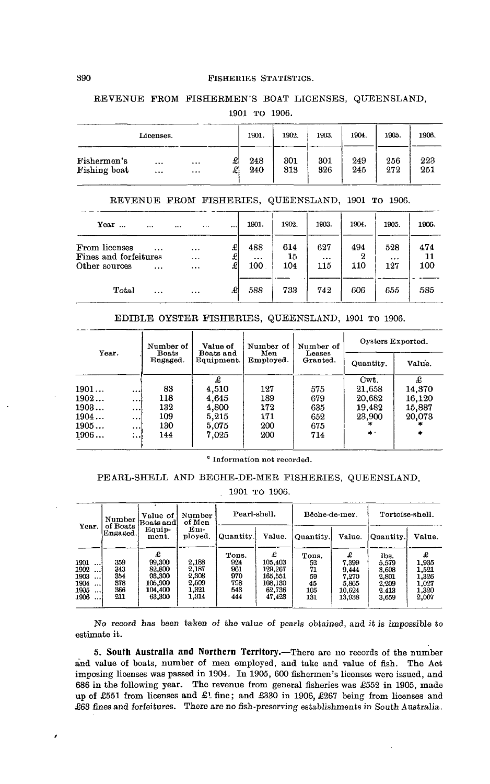# REVENUE FROM FISHERMEN'S BOAT LICENSES, QUEENSLAND,

1901 TO 1906.

|              | Licenses. |          |   | 1901. | 1902. | 1903. | 1904. | 1905. | 1906. |
|--------------|-----------|----------|---|-------|-------|-------|-------|-------|-------|
| Fishermen's  | $\cdots$  | $\cdots$ | æ | 248   | 301   | 301   | 249   | 256   | 223   |
| Fishing boat | $\cdots$  | $\cdots$ | £ | 240   | 313   | 326   | 245   | 272   | 251   |

# REVENUE FROM FISHERIES, QUEENSLAND, 1901 TO 1906.

| Year<br>$\ddotsc$<br>$\cdots$                                                   | $\ddotsc$<br>                    |             | 1901.                  | 1902.            | 1903.          | 1904.      | 1905.                  | 1906.            |
|---------------------------------------------------------------------------------|----------------------------------|-------------|------------------------|------------------|----------------|------------|------------------------|------------------|
| From licenses<br>$\cdots$<br>Fines and forfeitures<br>Other sources<br>$\cdots$ | $\cdots$<br>$\cdots$<br>$\cdots$ | £<br>£<br>£ | 488<br>$\cdots$<br>100 | 614<br>15<br>104 | 627<br><br>115 | 494<br>110 | 528<br>$\cdots$<br>127 | 474<br>11<br>100 |
| Total<br>$\cdots$                                                               | $\cdots$                         | £           | 588                    | 733              | 742            | 606        | 655                    | 585              |

#### EDIBLE OYSTER FISHERIES, QUEENSLAND, 1901 TO 1906.

|       |                          | Number of                | Value of                | Number of        | Number of          | Oysters Exported. |        |
|-------|--------------------------|--------------------------|-------------------------|------------------|--------------------|-------------------|--------|
| Year. |                          | <b>Boats</b><br>Engaged. | Boats and<br>Equipment. | Men<br>Employed. | Leases<br>Granted. | Quantity.         | Value. |
|       |                          |                          | £                       |                  |                    | Cwt.              | £      |
| 1901  | $\cdots$                 | 83                       | 4,510                   | 127              | 575                | 21,658            | 14.370 |
| 1902  | نوجو                     | 118                      | 4.645                   | 189              | 679                | 20.682            | 16,120 |
| 1903  | $\cdots$                 | 132                      | 4,800                   | 172              | 635                | 19,482            | 15,887 |
| 1904  | $\cdots$                 | 109                      | 5,215                   | 171              | 652                | 23,900            | 20,073 |
| 1905  | $\cdots$                 | 130                      | 5.075                   | 200              | 675                |                   |        |
| 1906  | $\mathbf{r}$<br>$\cdots$ | 144                      | 7.025                   | 200              | 714                | $\star$ .         |        |

 $^{\circ}$  Information not recorded.

# PEARL-SHELL AND BECHE-DE-MER FISHERIES, QUEENSLAND,

#### 1901 TO 1906.

|                                                                                  | Number                                 | Value of<br>Boats and                                           | Number<br>of Men                                   | Pearl-shell.                                    |                                                                   |                                             | Bêche-de-mer.                                             | Tortoise-shell.                                            |                                                    |
|----------------------------------------------------------------------------------|----------------------------------------|-----------------------------------------------------------------|----------------------------------------------------|-------------------------------------------------|-------------------------------------------------------------------|---------------------------------------------|-----------------------------------------------------------|------------------------------------------------------------|----------------------------------------------------|
| Year.                                                                            | of Boats<br>Engaged.                   | Equip-<br>ment.                                                 | Em-<br>ployed,                                     | Quantity.                                       | Value.                                                            | Quantity.                                   | Value.                                                    | Quantity.                                                  | Value.                                             |
| 1901<br>$\cdots$<br>1902<br>1903<br>$\cdots$<br>1904<br>$\cdots$<br>1905<br>1906 | 359<br>343<br>354<br>378<br>366<br>211 | £<br>99.300<br>82,800<br>93,300<br>105.900<br>104.400<br>63,300 | 2,188<br>2,187<br>2,308<br>2,509<br>1,321<br>1,314 | Tons.<br>924<br>961<br>970<br>798<br>543<br>444 | £<br>105.403<br>129.267<br>165.551<br>108.130<br>62.736<br>47.423 | Tons.<br>52<br>71<br>59<br>45<br>105<br>131 | £<br>7.399<br>9.444<br>7.270<br>5.865<br>10.624<br>13.938 | lbs.<br>5.579<br>3,608<br>2,801<br>2.209<br>2.413<br>3,659 | 1.935<br>1.521<br>1.326<br>1.027<br>1,320<br>2,007 |

No record has been taken of the value of pearls obtained, and it is impossible to estimate it.

**5. South Australia and Northern Territory.**—There are no records of the number and value of boats, number of men employed, and take and value of fish. The Act imposing licenses was passed in 1904. In 1905, 600 fishermen's licenses were issued, and 686 in the following year. The revenue from general fisheries was £552 in 1905, made up of £551 from licenses and £1 fine; and £330 in 1906, £267 being from licenses and £63 fines and forfeitures. There are no fish-preserving establishments in South Australia.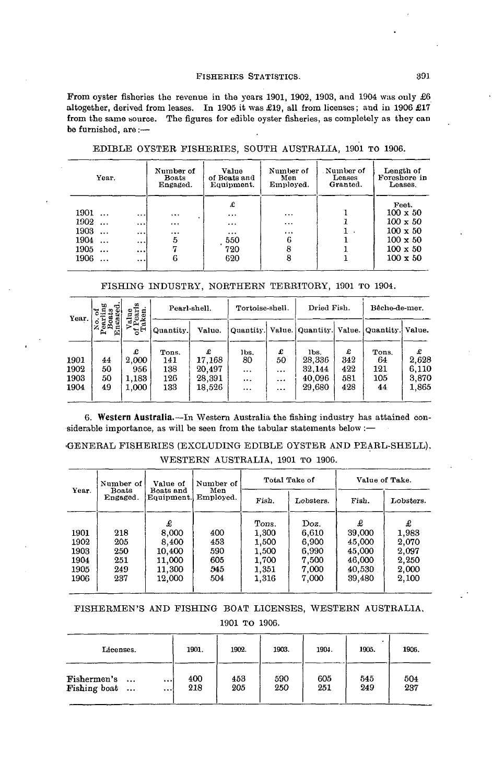Prom oyster fisheries the revenue in the years 1901, 1902, 1903, and 1904 was only £6 altogether, derived from leases. In 1905 it was £19, all from licenses; and in 1906 £17 from the same source. The figures for edible oyster fisheries, as completely as they can be furnished, are:—

| Year.             |          | Number of<br><b>Boats</b><br>Engaged. | Value<br>of Boats and<br>Equipment. | Number of<br>Men<br>Employed. | Number of<br>Leases<br>Granted. | Length of<br>Foreshore in<br>Leases. |
|-------------------|----------|---------------------------------------|-------------------------------------|-------------------------------|---------------------------------|--------------------------------------|
| 1901              |          |                                       | £                                   |                               |                                 | Feet.<br>$100 \times 50$             |
| $\ddots$          | $\cdots$ |                                       | $\cdots$                            | $\cdots$                      |                                 |                                      |
| 1902<br>$\ddotsc$ | $\cdots$ | $\cdots$                              | $\cdots$                            | $\cdots$                      |                                 | $100 \times 50$                      |
| 1903<br>$\ddotsc$ |          | $\cdots$                              | $\cdots$                            |                               |                                 | $100 \times 50$                      |
| 1904<br>$\ddotsc$ |          | 5                                     | 550                                 | 6                             |                                 | $100 \times 50$                      |
| 1905<br>$\ddotsc$ | $\cdots$ |                                       | 720                                 | 8                             |                                 | $100 \times 50$                      |
| 1906              | $\cdots$ | 6                                     | 620                                 | 8                             |                                 | $100 \times 50$                      |

EDIBLE OYSTER FISHERIES, SOUTH AUSTRALIA, 1901 TO 1906.

# PISHING INDUSTRY, NORTHERN TERRITORY, 1901 TO 1904.

| Year.                | œ<br>50<br>ా<br>cen |                            |                            | Pearl-shell.                    | Tortoise-shell.                    |                         | Dried Fish.                                                  |                        | Bêche-de-mer.             |                         |
|----------------------|---------------------|----------------------------|----------------------------|---------------------------------|------------------------------------|-------------------------|--------------------------------------------------------------|------------------------|---------------------------|-------------------------|
|                      | Ã<br>្គី¤្គី¤<br>色  | $\Delta \Delta$<br>ਸ਼ੁਜ    | Quantity.                  | Value.                          |                                    |                         | Quantity.   Value.   Quantity.   Value.   Quantity.   Value. |                        |                           |                         |
| 1901<br>1902<br>1903 | 44<br>50<br>50      | £<br>2.000<br>956<br>1,183 | Tons.<br>141<br>138<br>126 | £<br>17.168<br>20.497<br>28,391 | lbs.<br>80<br>$\cdots$<br>$\cdots$ | £<br>50<br>$\cdots$<br> | lbs.<br>28,336<br>32,144<br>40,096                           | £<br>342<br>422<br>581 | Tons.<br>64<br>121<br>105 | 2.628<br>6.110<br>3,870 |
| 1904                 | 49                  | 1.000                      | 133                        | 18,526                          | $\cdots$                           | $\cdots$                | 29,680                                                       | 428                    | 44                        | 1,865                   |

**6. Western Australia.**—In Western Australia the fishing industry has attained considerable importance, as will be seen from the tabular statements below :—

# •GENERAL FISHERIES (EXCLUDING EDIBLE OYSTER AND PEARL-SHELL). WESTERN AUSTRALIA, 1901 TO 1906.

|                                              | Number of                                                                        | Value of                                                    | Number of                              |                                                             | Total Take of                                              | Value of Take.                                                |                                                         |  |
|----------------------------------------------|----------------------------------------------------------------------------------|-------------------------------------------------------------|----------------------------------------|-------------------------------------------------------------|------------------------------------------------------------|---------------------------------------------------------------|---------------------------------------------------------|--|
| Year.                                        | Men<br>Boats and<br><b>Boats</b><br>Employed.<br>Equipment.<br>Engaged.<br>Fish. |                                                             | Lobsters.                              | Fish.                                                       | Lobsters.                                                  |                                                               |                                                         |  |
| 1901<br>1902<br>1903<br>1904<br>1905<br>1906 | 218<br>205<br>250<br>251<br>249<br>237                                           | £<br>8,000<br>8,400<br>10,400<br>11,000<br>11.300<br>12.000 | 400<br>453<br>590<br>605<br>545<br>504 | Tons.<br>1.300<br>1,500<br>1,500<br>1.700<br>1,351<br>1,316 | Doz.<br>6.610<br>6.900<br>6.990<br>7.500<br>7.000<br>7.000 | £<br>39,000<br>45,000<br>45,000<br>46,000<br>40,530<br>39,480 | £<br>1,983<br>2,070<br>2.097<br>2,250<br>2,000<br>2,100 |  |

# FISHERMEN'S AND FISHING BOAT LICENSES, WESTERN AUSTRALIA,

1901 TO 1906.

| Licenses.                                                                    | 1901.      | 1902.      | 1903.      | 1904.      | 1905.      | 1906.      |
|------------------------------------------------------------------------------|------------|------------|------------|------------|------------|------------|
| Fishermen's<br>$\ddotsc$<br>$\cdots$<br>Fishing boat<br>$\cdots$<br>$\cdots$ | 400<br>218 | 453<br>205 | 590<br>250 | 605<br>251 | 545<br>249 | 504<br>237 |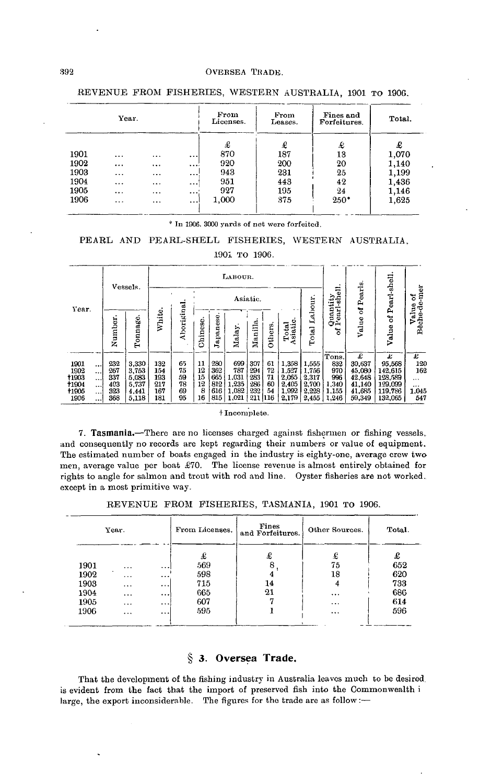| Year. |           |          |          | From<br>Licenses. | From<br>Leases. | Fines and<br>Forfeitures. | Total. |  |
|-------|-----------|----------|----------|-------------------|-----------------|---------------------------|--------|--|
|       |           |          |          | £                 | £               | £                         | £      |  |
| 1901  | $\cdots$  | $\cdots$ | $\cdots$ | 870               | 187             | 13                        | 1,070  |  |
| 1902  | $\ddotsc$ | $\cdots$ |          | 920               | 200             | 20                        | 1,140  |  |
| 1903  | $\cdots$  |          | $\cdots$ | 943               | 231             | 25                        | 1,199  |  |
| 1904  | $\cdots$  | $\cdots$ |          | 951               | 443             | 42                        | 1,436  |  |
| 1905  |           | $\cdots$ |          | 927               | 195             | $^{24}$                   | 1,146  |  |
| 1906  | $\ddotsc$ | $\cdots$ | $\cdots$ | 1,000             | 375             | $250*$                    | 1,625  |  |

REVENUE FROM FISHERIES, WESTERN AUSTRALIA, 1901 TO 1906.

\* In 1906, 3000 yards of net were forfeited.

### PEARL AND PEARL-SHELL FISHERIES, WESTERN AUSTRALIA.

#### 1901 то 1906.

|                      |                      |            | Vessels.       |            |            |          |              | LABOUR.        |                                                   |          |                             |                                       |                |                  |                    |                   |
|----------------------|----------------------|------------|----------------|------------|------------|----------|--------------|----------------|---------------------------------------------------|----------|-----------------------------|---------------------------------------|----------------|------------------|--------------------|-------------------|
|                      |                      |            |                |            |            |          |              |                | Asiatic.                                          |          |                             |                                       | 급<br>Ξă<br>≔   | Pearls           | Pearl-shell        | ä<br>Ē<br>៵<br>ಕಿ |
| Year.                |                      | Number     | Tonnage        | White.     | Aboriginal | Chinese  | apanese<br>ь | Malay          | Total<br>Asiatic.<br>۵<br><b>Others</b><br>Manill |          | Labour<br>$_{\rm tal}$<br>Ē | $\overline{a}$<br>unu<br>as<br>C<br>៵ | ৳<br>Value     | ಕ<br>Value       | Value<br>Bêche-    |                   |
|                      |                      |            |                |            |            |          |              |                |                                                   |          |                             |                                       | Tons.          | £                | £                  | £                 |
| 1901                 | $\cdots$             | 232        | 3,330          | 132        | 65         | 11       | 280          | 699            | 307                                               | 61       | 1,358                       | 1,555                                 | 832            | 30,637           | 95,568             | 120               |
| 1902<br><b>t1903</b> | $\cdots$             | 267<br>337 | 3,753<br>5.083 | 154<br>193 | 75<br>59   | 12<br>15 | 362<br>665   | 787<br>1.031   | 294<br>283                                        | 72<br>71 | 1527<br>2,065               | 1.756<br>2,317                        | 970<br>996     | 45,080<br>42,648 | 142,615<br>128,589 | 162               |
| +1904                | $\cdots$<br>$\cdots$ | 403        | 5.737          | 217        | 78         | 12       | 812          | 1.235          | 286                                               | 60       | 2.405                       | 2.700                                 | 1.340          | 41,140           | 129,099            | $\cdots$<br>      |
| <b>t1905</b><br>1906 | $\cdots$<br>         | 323<br>368 | 4.441<br>5,118 | 167<br>181 | 69<br>95   | 8<br>16  | 616<br>815   | 1.082<br>1,021 | 232<br>211 116                                    | 54       | 1,992<br>2,179              | 2.228<br>2,455                        | 1.155<br>1,246 | 41,685<br>59,349 | 119.786<br>132,065 | 1.045<br>547      |

#### $\dagger$ Incomplete.

7. Tasmania.—There are no licenses charged against fishermen or fishing vessels, and consequently no records are kept regarding their numbers or value of equipment. The estimated number of boats engaged in the industry is eighty-one, average crew two men, average value per boat £70. The license revenue is almost entirely obtained for rights to angle for salmon and trout with rod and line. Oyster fisheries are not worked. except in a most primitive way.

REVENUE FROM FISHERIES, TASMANIA, 1901 TO 1906.

| Year. |          |           | From Licenses. | Fines<br>and Forfeitures. | Other Sources. | Total. |  |
|-------|----------|-----------|----------------|---------------------------|----------------|--------|--|
|       |          |           | £              | £                         | £              | £      |  |
| 1901  | $\cdots$ | $\ddots$  | 569            |                           | 75             | 652    |  |
| 1902  | $\cdots$ | $\cdots$  | 598            |                           | 18             | 620    |  |
| 1903  | $\cdots$ | $\cdots$  | 715            | 14                        |                | 733    |  |
| 1904  | $\cdots$ | $\ddotsc$ | 665            | 21                        | $\cdots$       | 686    |  |
| 1905  | $\cdots$ | $\cdots$  | 607            |                           | $\cdots$       | 614    |  |
| 1906  | $\cdots$ | $\cdots$  | 595            |                           | $\cdots$       | 596    |  |

# § 3. Oversea Trade.

That the development of the fishing industry in Australia leaves much to be desired. is evident from the fact that the import of preserved fish into the Commonwealth i large, the export inconsiderable. The figures for the trade are as follow :-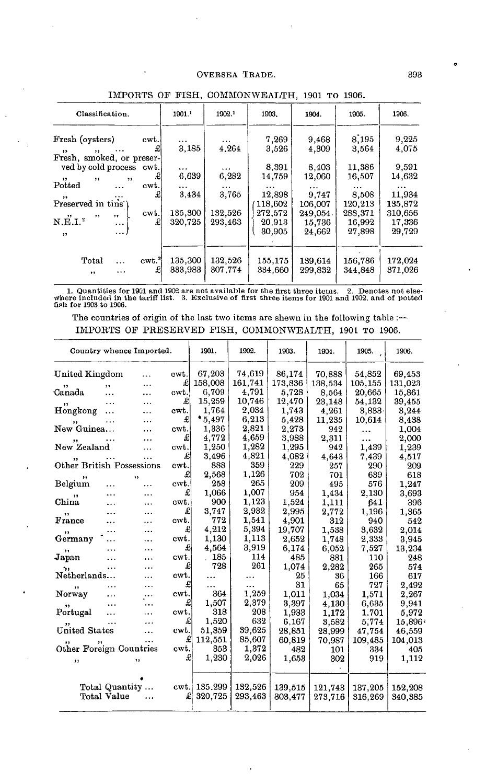# OVERSEA TRADE.

| Classification.                                                                                     |                               | 1901.              | 1902.              | 1903.              | 1904.              | 1905.              | 1306.              |
|-----------------------------------------------------------------------------------------------------|-------------------------------|--------------------|--------------------|--------------------|--------------------|--------------------|--------------------|
| Fresh (oysters)<br>cwt.i<br>£<br>$\overline{\mathbf{12}}$<br>$, \, \,$<br>Fresh, smoked, or preser- |                               | $\cdots$<br>3,185  | $\cdots$<br>4.264  | 7,269<br>3,526     | 9,468<br>4,309     | 8,195<br>3,564     | 9,225<br>4,075     |
| ved by cold process cwt.<br>$^{\bullet}$<br>, ,<br>$^{\prime\prime}$                                | £                             | $\cdots$<br>6,639  | $\cdots$<br>6,282  | 8,391<br>14,759    | 8,403<br>12,060    | 11,386<br>16,507   | 9,591<br>14,632    |
| Potted<br><br>,,                                                                                    | cwt.<br>£                     | $\cdots$<br>3,434  | $\cdots$<br>3,765  | $\cdots$<br>12,898 | $\cdots$<br>9.747  | $\cdots$<br>8,508  | $\cdots$<br>11,934 |
| Preserved in tins')<br>$, \,$<br>, ,                                                                | cwt.                          | 135,300            | 132.526            | 118,602<br>272,572 | 106.007<br>249.054 | 120,213<br>288,371 | 135,872<br>310,656 |
| $N.E.I.$ <sup>2</sup><br>$\cdots$<br>$\cdots$<br>, ,                                                | £                             | 320.725            | 293,463            | 20,913<br>30,905   | 15,736<br>24,662   | 16.992<br>27.898   | 17.336<br>29,729   |
|                                                                                                     |                               |                    |                    |                    |                    |                    |                    |
| Total<br>$\cdots$<br>$, \,$                                                                         | $\text{cwt.}^{\text{3}}$<br>£ | 135,300<br>333,983 | 132,526<br>307.774 | 155,175<br>334,660 | 139,614<br>299,832 | 156,786<br>344,848 | 172,024<br>371,026 |

# IMPORTS OF FISH, COMMONWEALTH, 1901 TO 1906.

1. Quantities for 1901 and 1902 are not available for the first three items. 2. Denotes not elsewhere included in the tariff list. 3. Exclusive of first three items for 1901 and 1902, and of potted fish for 1903 to 1906.

The countries of origin of the last two items are shewn in the following table :-IMPORTS OF PRESERVED FISH, COMMONWEALTH, 1901 TO 1906.

|                           |                | Country whence Imported. |      | 1901.   | 1902.   | 1903.   | 1904.   | 1905.    | 1906.   |
|---------------------------|----------------|--------------------------|------|---------|---------|---------|---------|----------|---------|
| United Kingdom            |                | .                        | ewt. | 67,203  | 74,619  | 86,174  | 70,888  | 54,852   | 69,453  |
|                           | ,,             | .                        | £    | 158,008 | 161,741 | 173,836 | 138,534 | 105,155  | 131.023 |
| Canada                    | .              | .                        | cwt. | 6,709   | 4,791   | 5,728   | 8,564   | 20,665   | 15,861  |
|                           |                |                          | £    | 15,259  | 10,746  | 12,470  | 23,148  | 54,132   | 39,455  |
| Hongkong                  | .              | .                        | cwt. | 1,764   | 2,034   | 1,743   | 4.261   | 3,833    | 3.244   |
|                           |                |                          | £    | * 5,497 | 6,213   | 5,428   | 11,235  | 10,614   | 8,438   |
| New Guinea                |                |                          | cwt. | 1,336   | 2,821   | 2,273   | 942     |          | 1,004   |
|                           |                |                          | £    | 4,772   | 4,659   | 3,988   | 2,311   | $\cdots$ | 2,000   |
| New Zealand               |                |                          | cwt. | 1.250   | 1,282   | 1,295   | 942     | 1,439    | 1,239   |
|                           |                |                          | £    | 3,496   | 4,821   | 4.082   | 4,643   | 7.439    | 4,517   |
| Other British Possessions |                |                          | cwt. | 888     | 359     | 229     | 257     | 290      | 209     |
| ,,                        |                | , ,                      | £    | 2,568   | 1,126   | 702     | 701     | 639      | 618     |
| Belgium                   |                | $\cdots$                 | cwt. | 258     | 265     | 209     | 495     | 576      | 1,247   |
| ,,                        | .              |                          | £    | 1,066   | 1,007   | 954     | 1,434   | 2,130    | 3,693   |
| China                     |                |                          | cwt. | 900     | 1,123   | 1,524   | 1,111   | 641      | 396     |
| ,,                        |                |                          | £    | 3,747   | 2,932   | 2,995   | 2,772   | 1,196    | 1,365   |
| France                    |                |                          | cwt. | 772     | 1,541   | 4.901   | 312     | 940      | 542     |
|                           |                | .                        | £    | 4,212   | 5,394   | 19,707  | 1.538   | 3.632    | 2.014   |
| Germany                   |                |                          | cwt. | 1,130   | 1,113   | 2,652   | 1,748   | 2,333    | 3,945   |
| ,,                        |                |                          | £    | 4,564   | 3,919   | 6,174   | 6,052   | 7,527    | 13,234  |
| Japan                     |                | $\cdots$                 | cwt. | 185     | 114     | 485     | 881     | 110      | 248     |
| ٠,                        | $\cdots$       | .                        | £    | 728     | 261     | 1,074   | 2.282   | 265      | 574     |
| Netherlands               |                | .                        | ewt. |         |         | 25      | 36      | 166      | 617     |
| ,,                        | $\cdots$       | .                        | £    |         |         | 31      | 65      | 727      | 2,492   |
| Norway                    | .              | $\ldots$                 | cwt. | 364     | 1,259   | 1,011   | 1.034   | 1,571    | 2,267   |
|                           |                |                          | £    | 1,507   | 2,379   | 3,397   | 4,130   | 6.635    | 9,941   |
| Portugal                  |                | .                        | cwt. | 318     | 208     | 1,933   | 1,172   | 1.701    | 5,972   |
|                           |                | .                        | £    | 1.520   | 632     | 6,167   | 3,582   | 5,774    | 15,896  |
| <b>United States</b>      |                | .                        | cwt. | 51,859  | 39.625  | 28,851  | 28,999  | 47,754   | 46,559  |
|                           |                |                          | £    | 112,551 | 85,607  | 60,819  | 70,987  | 109,485  | 104,013 |
| Other Foreign Countries   |                |                          | cwt. | 353     | 1,372   | 482     | 101     | 334      | 405     |
| ,,                        |                |                          | £    | 1,230   | 2.026   | 1,653   | 302     | 919      | 1,112   |
|                           |                |                          |      |         |         |         |         |          |         |
|                           | Total Quantity |                          | cwt. | 135,299 | 132,526 | 139,515 | 121,743 | 137,205  | 152,208 |
|                           | Total Value    |                          | £    | 320,725 | 293,463 | 303,477 | 273,716 | 316,269  | 340,385 |
|                           |                |                          |      |         |         |         |         |          |         |

o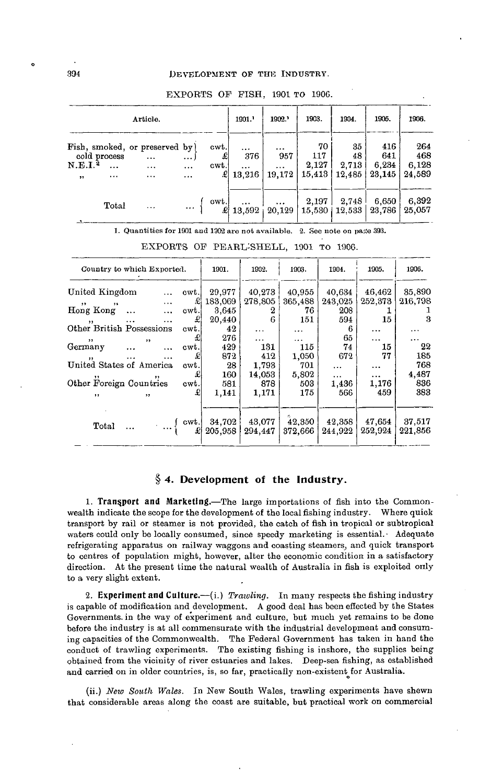|                                    |                                      | Article.                                           |                            | 1901.                  | 1902.                                 | 1903.                         | 1904.                        | 1905.                       | 1906.                         |                               |
|------------------------------------|--------------------------------------|----------------------------------------------------|----------------------------|------------------------|---------------------------------------|-------------------------------|------------------------------|-----------------------------|-------------------------------|-------------------------------|
| $_{\rm N.E.I.}$ 2<br>, ,           | cold process<br>$\cdots$<br>$\cdots$ | Fish, smoked, or preserved by)<br><br><br>$\cdots$ | )<br>$\ddotsc$<br>$\cdots$ | cwt.<br>£<br>cwt.<br>£ | $\cdots$<br>376<br>$\cdots$<br>13,216 | $\cdots$<br>957<br><br>19,172 | 70<br>117<br>2,127<br>15,413 | 35<br>48<br>2,713<br>12,485 | 416<br>641<br>6,234<br>23,145 | 264<br>468<br>6,128<br>24.589 |
| $\bullet$ and the set of $\bullet$ | Total                                | $\cdots$                                           |                            | cwt.                   | <br>13.592                            | $\cdots$<br>20.129            | 2,197                        | 2,748<br>15,530   12,533    | 6,650<br>23,786               | 6,392<br>25,057               |

#### EXPORTS OF FISH, 1901 TO 190G.

1. Quantities for 1901 and 1902 are not available. 2. See note on page 393.

| Country to which Exported.                                             |                          |                                               |                   | 1901.             | 1902.                 | 1903.                | 1904.                         | 1905.                         | 1906.                      |
|------------------------------------------------------------------------|--------------------------|-----------------------------------------------|-------------------|-------------------|-----------------------|----------------------|-------------------------------|-------------------------------|----------------------------|
| United Kingdom<br>$\sim$ $\sim$<br>, ,                                 |                          | <b>Contractor</b><br><b>Contract Contract</b> | cwt.<br>£l        | 29,977<br>183,069 | 40,273<br>278,805     | 40,955<br>365,488    | 40,634<br>243,025             | 46.462<br>252,373             | 35,890<br>216,798          |
| Hong Kong<br>$\mathbf{v}$                                              | and the same<br>$\cdots$ | $\cdots$                                      | cwt.<br>£         | 3.645<br>20.440   | 2<br>6                | 76<br>151            | 208<br>594                    | 15                            | з                          |
| Other British Possessions<br>$\cdot$                                   | $, \,$                   |                                               | cwt.<br>£         | 42<br>276<br>429  | $\cdots$<br>$\ddotsc$ | $\cdots$<br>$\cdots$ | 6<br>65                       | $\cdots$<br>$\cdots$          | $\cdots$<br>$\cdots$<br>22 |
| Germany<br>$\cdots$<br>United States of America                        | $\cdots$<br>$\cdots$     | $\cdots$                                      | cwt.<br>£<br>cwt. | 872<br>28         | 131<br>412<br>1.793   | 115<br>1,050<br>701  | 74<br>672                     | 15<br>77                      | 185<br>768                 |
| $, \, \,$<br>Other Foreign Countries                                   | $\cdots$                 |                                               | £l<br>cwt.        | 160<br>581        | 14,053<br>878         | 5,802<br>503         | $\cdots$<br>$\cdots$<br>1,436 | $\cdots$<br>$\cdots$<br>1,176 | 4,487<br>836               |
| $\bullet$                                                              | $\overline{\mathbf{1}}$  |                                               | £                 | 1,141             | 1,171                 | 175                  | 566                           | 459                           | 383                        |
| Total $\cdots$ $\begin{bmatrix} \text{cwt.} \\ \text{c} \end{bmatrix}$ |                          |                                               |                   | 34,702<br>205,958 | 43,077<br>294.447     | 42,350<br>372,666    | 42,358<br>244.922             | 47,654<br>252,924             | 37,517<br>221,856          |

EXPORTS OF PEARL-SHELL, 1901 TO 1906.

# **§ 4. Development of the Industry.**

**1. Transport and Marketing.**—The large importations of fish into the Commonwealth indicate the scope for the development of the local fishing industry. Where quick transport by rail or steamer is not provided, the catch of fish in tropical or subtropical waters could only be locally consumed, since speedy marketing is essential. Adequate refrigerating apparatus on railway waggons and coasting steamers, and quick transport to centres of population might, however, alter the economic condition in a satisfactory direction. At the present time the natural wealth of Australia in fish is exploited only to a very slight extent.

**2. Experiment and Culture.**—(i.) *Trawling.* In many respects the fishing industry is capable of modification and development. A good deal has been effected by the States Governments, in the way of experiment and culture, but much yet remains to be done before the industry is at all commensurate with the industrial development and consuming capacities of the Commonwealth. The Federal Government has taken in hand the conduct of trawling experiments. The existing fishing is inshore, the supplies being obtained from the vicinity of river estuaries and lakes. Deep-sea fishing, as established and carried on in older countries, is, so far, practically non-existent for Australia.

(ii.) *New South Wales.* In New South Wales, trawling experiments have shewn that considerable areas along the coast are suitable, but practical work on commercial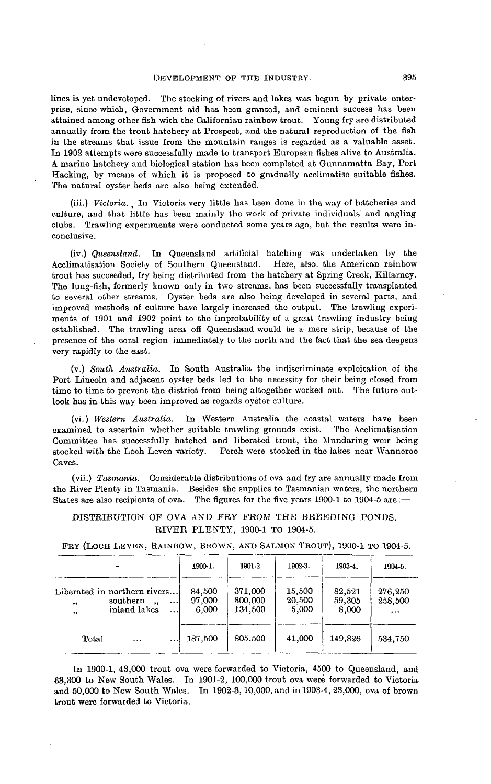lines is yet undeveloped. The stocking of rivers and lakes was begun by private enterprise, since which, Government aid has been granted, and eminent success has been attained among other fish with the Californian rainbow trout. Young fry are distributed annually from the trout hatchery at Prospect, and the natural reproduction of the fish in the streams that issue from the mountain ranges is regarded as a valuable asset. Tn 1902 attempts were successfully made to transport European fishes alive to Australia. A marine hatchery and biological station has been completed at Gunnamatta Bay, Port Hacking, by means of which it is proposed to gradually acclimatise suitable fishes. The natural oyster beds are also being extended.

(iii.) Victoria. In Victoria very little has been done in the way of hatcheries and culture, and that little has been mainly the work of private individuals and angling clubs. Trawling experiments were conducted some years ago, but the results were inconclusive.

(iv.) *Queensland.* In Queensland artificial hatching was undertaken by the Acclimatisation Society of Southern Queensland. trout has succeeded, fry being distributed from the hatchery at Spring Creek, Killarney. The lung-fish, formerly known only in two streams, has been successfully transplanted to several other streams. Oyster beds are also being developed in several parts, and improved methods of culture have largely increased the output. The trawling experiments of 1901 and 1902 point to the improbability of a great trawling industry being established. The trawling area off Queensland would be a mere strip, because of the presence of the coral region immediately to the north and the fact that the sea deepens very rapidly to the east.

(v.) *South Australia.* In South Australia the indiscriminate exploitation of the Port Lincoln and adjacent oyster beds led to the necessity for their being closed from time to time to prevent the district from being altogether worked out. The future outlook has in this way been improved as regards oyster culture.

(vi.) *Western Australia.* In Western Australia the coastal waters have been examined to ascertain whether suitable trawling grounds exist. Committee has successfully hatched and liberated trout, the Mundaring weir being stocked with the Loch Leven variety. Perch were stocked in the lakes near Wanneroo Caves.

(vii.) *Tasmania.* Considerable distributions of ova and fry are annually made from the River Plenty in Tasmania. Besides the supplies to Tasmanian waters, the northern States are also recipients of ova. The figures for the five years 1900-1 to 1904-5 are:—

DISTRIBUTION OP OVA AND FRY PROM THE BREEDING PONDS. RIVER PLENTY, 1900-1 TO 1904-5.

|  |  |  |  |  |  |  | FRY (LOCH LEVEN, RAINBOW, BROWN, AND SALMON TROUT), 1900-1 TO 1904-5. |
|--|--|--|--|--|--|--|-----------------------------------------------------------------------|
|--|--|--|--|--|--|--|-----------------------------------------------------------------------|

|                                       |                                                                                  |                      | 1900-1.                   | 1901-2.                       | 1902-3.                   | 1903-4.                   | 1904-5.                        |  |
|---------------------------------------|----------------------------------------------------------------------------------|----------------------|---------------------------|-------------------------------|---------------------------|---------------------------|--------------------------------|--|
| $^{\ast\ast}$<br>$\ddot{\phantom{1}}$ | Liberated in northern rivers<br>southern<br>$\ddot{\phantom{a}}$<br>inland lakes | $\cdots$<br>$\cdots$ | 84,500<br>97,000<br>6.000 | 371,000<br>300,000<br>134,500 | 15,500<br>20,500<br>5,000 | 82.521<br>59,305<br>8,000 | 276,250<br>258.500<br>$\cdots$ |  |
| Total                                 | $\cdots$                                                                         |                      | 187,500                   | 805,500                       | 41,000                    | 149.826                   | 534.750                        |  |

In 1900-1, 43,000 trout ova were forwarded to Victoria, 4500 to Queensland, and 63,300 to New South Wales. In 1901-2, 100,000 trout ova were forwarded to Victoria and 50,000 to New South Wales. Tn 1902-3,10,000, and in 1903-4, 23,000, ova of brown trout were forwarded to Victoria.